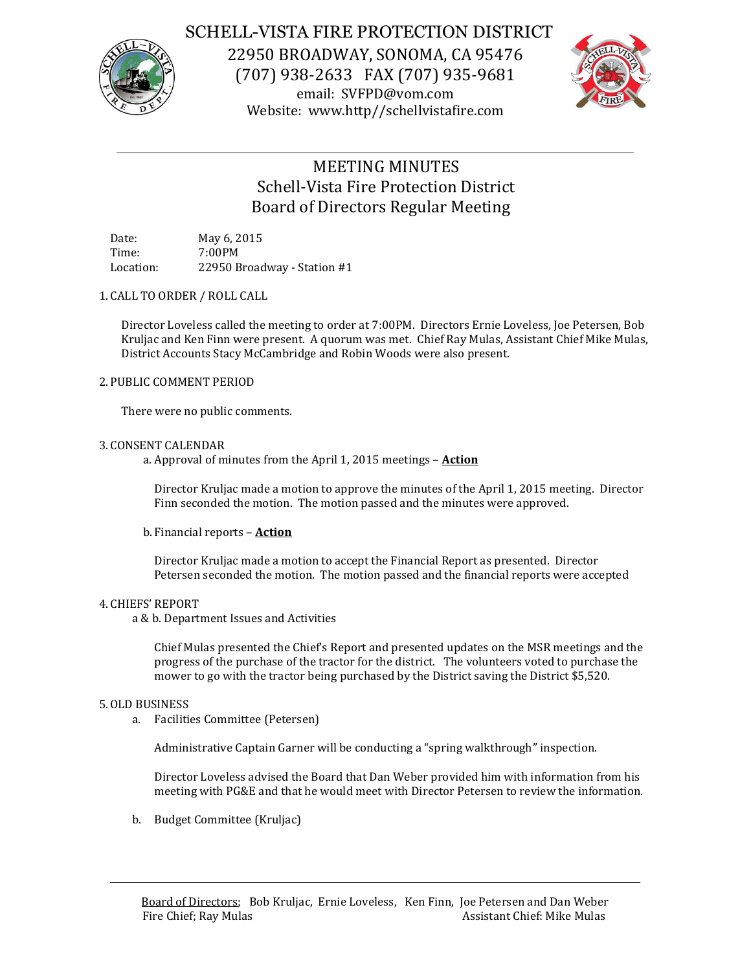

## SCHELL-VISTA FIRE PROTECTION DISTRICT

22950 BROADWAY, SONOMA, CA 95476 (707) 938-2633 FAX (707) 935-9681 email: SVFPD@vom.com Website: www.http//schellvistafire.com



# MEETING MINUTES Schell-Vista Fire Protection District Board of Directors Regular Meeting

Date: May 6, 2015 Time: 7:00PM Location: 22950 Broadway - Station #1

## 1. CALL TO ORDER / ROLL CALL

Director Loveless called the meeting to order at 7:00PM. Directors Ernie Loveless, Joe Petersen, Bob Kruljac and Ken Finn were present. A quorum was met. Chief Ray Mulas, Assistant Chief Mike Mulas, District Accounts Stacy McCambridge and Robin Woods were also present.

## 2. PUBLIC COMMENT PERIOD

There were no public comments.

## 3. CONSENT CALENDAR

a. Approval of minutes from the April 1, 2015 meetings – **Action**

Director Kruljac made a motion to approve the minutes of the April 1, 2015 meeting. Director Finn seconded the motion. The motion passed and the minutes were approved.

## b. Financial reports – **Action**

Director Kruljac made a motion to accept the Financial Report as presented. Director Petersen seconded the motion. The motion passed and the financial reports were accepted

## 4. CHIEFS' REPORT

a & b. Department Issues and Activities

Chief Mulas presented the Chief's Report and presented updates on the MSR meetings and the progress of the purchase of the tractor for the district. The volunteers voted to purchase the mower to go with the tractor being purchased by the District saving the District \$5,520.

## 5.OLD BUSINESS

a. Facilities Committee (Petersen)

Administrative Captain Garner will be conducting a "spring walkthrough" inspection.

Director Loveless advised the Board that Dan Weber provided him with information from his meeting with PG&E and that he would meet with Director Petersen to review the information.

b. Budget Committee (Kruljac)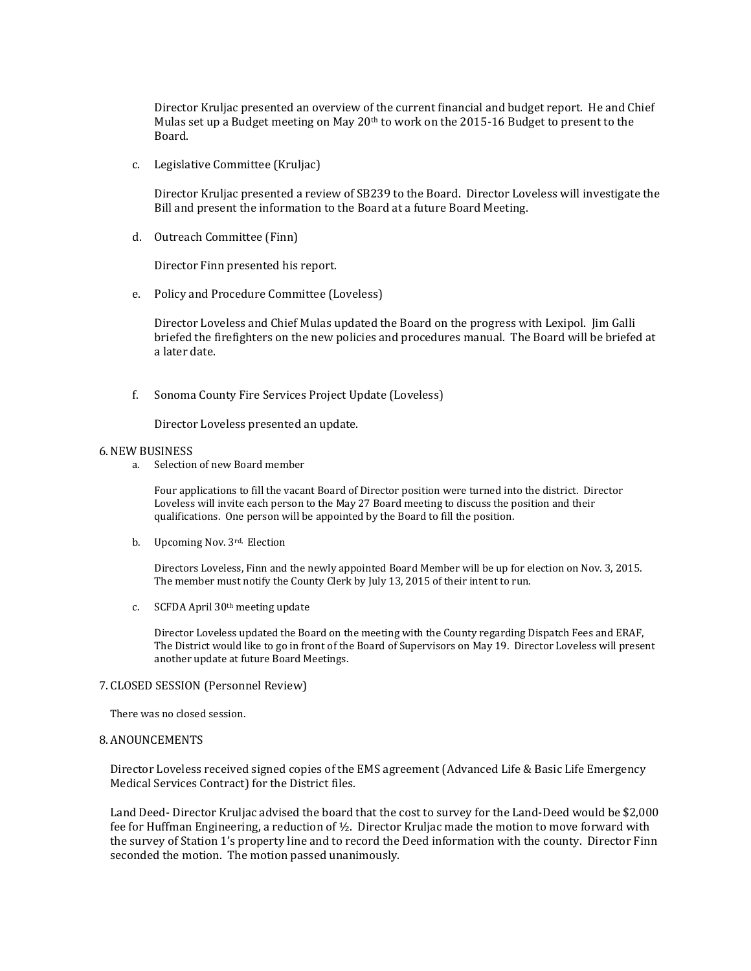Director Kruljac presented an overview of the current financial and budget report. He and Chief Mulas set up a Budget meeting on May 20<sup>th</sup> to work on the 2015-16 Budget to present to the Board.

c. Legislative Committee (Kruljac)

Director Kruljac presented a review of SB239 to the Board. Director Loveless will investigate the Bill and present the information to the Board at a future Board Meeting.

d. Outreach Committee (Finn)

Director Finn presented his report.

e. Policy and Procedure Committee (Loveless)

Director Loveless and Chief Mulas updated the Board on the progress with Lexipol. Jim Galli briefed the firefighters on the new policies and procedures manual. The Board will be briefed at a later date.

f. Sonoma County Fire Services Project Update (Loveless)

Director Loveless presented an update.

#### 6.NEW BUSINESS

a. Selection of new Board member

Four applications to fill the vacant Board of Director position were turned into the district. Director Loveless will invite each person to the May 27 Board meeting to discuss the position and their qualifications. One person will be appointed by the Board to fill the position.

b. Upcoming Nov. 3rd, Election

Directors Loveless, Finn and the newly appointed Board Member will be up for election on Nov. 3, 2015. The member must notify the County Clerk by July 13, 2015 of their intent to run.

c. SCFDA April 30th meeting update

Director Loveless updated the Board on the meeting with the County regarding Dispatch Fees and ERAF, The District would like to go in front of the Board of Supervisors on May 19. Director Loveless will present another update at future Board Meetings.

#### 7. CLOSED SESSION (Personnel Review)

There was no closed session.

#### 8.ANOUNCEMENTS

Director Loveless received signed copies of the EMS agreement (Advanced Life & Basic Life Emergency Medical Services Contract) for the District files.

Land Deed- Director Kruljac advised the board that the cost to survey for the Land-Deed would be \$2,000 fee for Huffman Engineering, a reduction of ½. Director Kruljac made the motion to move forward with the survey of Station 1's property line and to record the Deed information with the county. Director Finn seconded the motion. The motion passed unanimously.